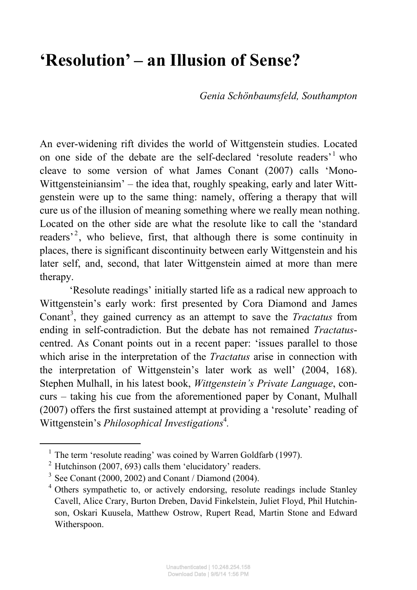# **'Resolution' – an Illusion of Sense?**

*Genia Schönbaumsfeld, Southampton* 

An ever-widening rift divides the world of Wittgenstein studies. Located on one side of the debate are the self-declared 'resolute readers'<sup>1</sup> who cleave to some version of what James Conant (2007) calls 'Mono-Wittgensteiniansim' – the idea that, roughly speaking, early and later Wittgenstein were up to the same thing: namely, offering a therapy that will cure us of the illusion of meaning something where we really mean nothing. Located on the other side are what the resolute like to call the 'standard readers<sup>2</sup>, who believe, first, that although there is some continuity in places, there is significant discontinuity between early Wittgenstein and his later self, and, second, that later Wittgenstein aimed at more than mere therapy.

'Resolute readings' initially started life as a radical new approach to Wittgenstein's early work: first presented by Cora Diamond and James Conant<sup>3</sup>, they gained currency as an attempt to save the *Tractatus* from ending in self-contradiction. But the debate has not remained *Tractatus*centred. As Conant points out in a recent paper: 'issues parallel to those which arise in the interpretation of the *Tractatus* arise in connection with the interpretation of Wittgenstein's later work as well' (2004, 168). Stephen Mulhall, in his latest book, *Wittgenstein's Private Language*, concurs – taking his cue from the aforementioned paper by Conant, Mulhall (2007) offers the first sustained attempt at providing a 'resolute' reading of Wittgenstein's *Philosophical Investigations*<sup>4</sup>.

 <sup>1</sup> The term 'resolute reading' was coined by Warren Goldfarb (1997).

 $2$  Hutchinson (2007, 693) calls them 'elucidatory' readers.

 $3$  See Conant (2000, 2002) and Conant / Diamond (2004).

<sup>&</sup>lt;sup>4</sup> Others sympathetic to, or actively endorsing, resolute readings include Stanley Cavell, Alice Crary, Burton Dreben, David Finkelstein, Juliet Floyd, Phil Hutchinson, Oskari Kuusela, Matthew Ostrow, Rupert Read, Martin Stone and Edward Witherspoon.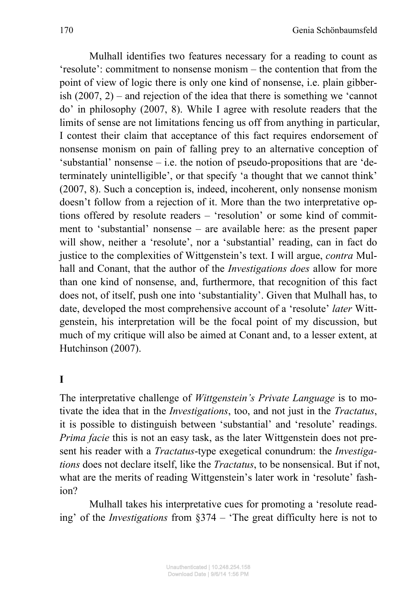Mulhall identifies two features necessary for a reading to count as 'resolute': commitment to nonsense monism – the contention that from the point of view of logic there is only one kind of nonsense, i.e. plain gibberish (2007, 2) – and rejection of the idea that there is something we 'cannot do' in philosophy (2007, 8). While I agree with resolute readers that the limits of sense are not limitations fencing us off from anything in particular, I contest their claim that acceptance of this fact requires endorsement of nonsense monism on pain of falling prey to an alternative conception of 'substantial' nonsense – i.e. the notion of pseudo-propositions that are 'determinately unintelligible', or that specify 'a thought that we cannot think' (2007, 8). Such a conception is, indeed, incoherent, only nonsense monism doesn't follow from a rejection of it. More than the two interpretative options offered by resolute readers – 'resolution' or some kind of commitment to 'substantial' nonsense – are available here: as the present paper will show, neither a 'resolute', nor a 'substantial' reading, can in fact do justice to the complexities of Wittgenstein's text. I will argue, *contra* Mulhall and Conant, that the author of the *Investigations does* allow for more than one kind of nonsense, and, furthermore, that recognition of this fact does not, of itself, push one into 'substantiality'. Given that Mulhall has, to date, developed the most comprehensive account of a 'resolute' *later* Wittgenstein, his interpretation will be the focal point of my discussion, but much of my critique will also be aimed at Conant and, to a lesser extent, at Hutchinson (2007).

### **I**

The interpretative challenge of *Wittgenstein's Private Language* is to motivate the idea that in the *Investigations*, too, and not just in the *Tractatus*, it is possible to distinguish between 'substantial' and 'resolute' readings. *Prima facie* this is not an easy task, as the later Wittgenstein does not present his reader with a *Tractatus*-type exegetical conundrum: the *Investigations* does not declare itself, like the *Tractatus*, to be nonsensical. But if not, what are the merits of reading Wittgenstein's later work in 'resolute' fashion?

Mulhall takes his interpretative cues for promoting a 'resolute reading' of the *Investigations* from §374 – 'The great difficulty here is not to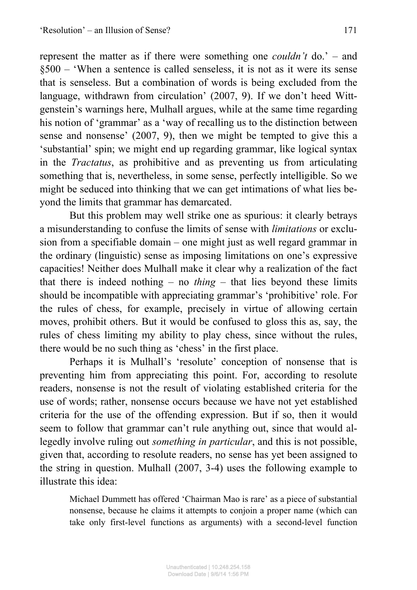represent the matter as if there were something one *couldn't* do.' – and §500 – 'When a sentence is called senseless, it is not as it were its sense that is senseless. But a combination of words is being excluded from the language, withdrawn from circulation' (2007, 9). If we don't heed Wittgenstein's warnings here, Mulhall argues, while at the same time regarding his notion of 'grammar' as a 'way of recalling us to the distinction between sense and nonsense' (2007, 9), then we might be tempted to give this a 'substantial' spin; we might end up regarding grammar, like logical syntax in the *Tractatus*, as prohibitive and as preventing us from articulating something that is, nevertheless, in some sense, perfectly intelligible. So we might be seduced into thinking that we can get intimations of what lies beyond the limits that grammar has demarcated.

But this problem may well strike one as spurious: it clearly betrays a misunderstanding to confuse the limits of sense with *limitations* or exclusion from a specifiable domain – one might just as well regard grammar in the ordinary (linguistic) sense as imposing limitations on one's expressive capacities! Neither does Mulhall make it clear why a realization of the fact that there is indeed nothing – no *thing* – that lies beyond these limits should be incompatible with appreciating grammar's 'prohibitive' role. For the rules of chess, for example, precisely in virtue of allowing certain moves, prohibit others. But it would be confused to gloss this as, say, the rules of chess limiting my ability to play chess, since without the rules, there would be no such thing as 'chess' in the first place.

Perhaps it is Mulhall's 'resolute' conception of nonsense that is preventing him from appreciating this point. For, according to resolute readers, nonsense is not the result of violating established criteria for the use of words; rather, nonsense occurs because we have not yet established criteria for the use of the offending expression. But if so, then it would seem to follow that grammar can't rule anything out, since that would allegedly involve ruling out *something in particular*, and this is not possible, given that, according to resolute readers, no sense has yet been assigned to the string in question. Mulhall (2007, 3-4) uses the following example to illustrate this idea:

Michael Dummett has offered 'Chairman Mao is rare' as a piece of substantial nonsense, because he claims it attempts to conjoin a proper name (which can take only first-level functions as arguments) with a second-level function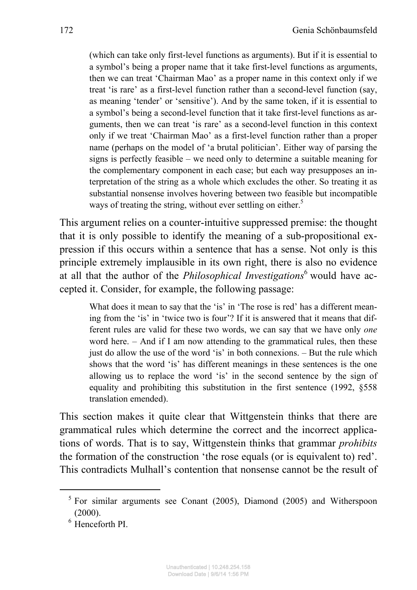(which can take only first-level functions as arguments). But if it is essential to a symbol's being a proper name that it take first-level functions as arguments, then we can treat 'Chairman Mao' as a proper name in this context only if we treat 'is rare' as a first-level function rather than a second-level function (say, as meaning 'tender' or 'sensitive'). And by the same token, if it is essential to a symbol's being a second-level function that it take first-level functions as arguments, then we can treat 'is rare' as a second-level function in this context only if we treat 'Chairman Mao' as a first-level function rather than a proper name (perhaps on the model of 'a brutal politician'. Either way of parsing the signs is perfectly feasible – we need only to determine a suitable meaning for the complementary component in each case; but each way presupposes an interpretation of the string as a whole which excludes the other. So treating it as substantial nonsense involves hovering between two feasible but incompatible ways of treating the string, without ever settling on either.<sup>5</sup>

This argument relies on a counter-intuitive suppressed premise: the thought that it is only possible to identify the meaning of a sub-propositional expression if this occurs within a sentence that has a sense. Not only is this principle extremely implausible in its own right, there is also no evidence at all that the author of the *Philosophical Investigations*<sup>6</sup> would have accepted it. Consider, for example, the following passage:

What does it mean to say that the 'is' in 'The rose is red' has a different meaning from the 'is' in 'twice two is four'? If it is answered that it means that different rules are valid for these two words, we can say that we have only *one* word here. – And if I am now attending to the grammatical rules, then these just do allow the use of the word 'is' in both connexions. – But the rule which shows that the word 'is' has different meanings in these sentences is the one allowing us to replace the word 'is' in the second sentence by the sign of equality and prohibiting this substitution in the first sentence (1992, §558 translation emended).

This section makes it quite clear that Wittgenstein thinks that there are grammatical rules which determine the correct and the incorrect applications of words. That is to say, Wittgenstein thinks that grammar *prohibits* the formation of the construction 'the rose equals (or is equivalent to) red'. This contradicts Mulhall's contention that nonsense cannot be the result of

<sup>&</sup>lt;sup>5</sup> For similar arguments see Conant (2005), Diamond (2005) and Witherspoon (2000).

<sup>6</sup> Henceforth PI.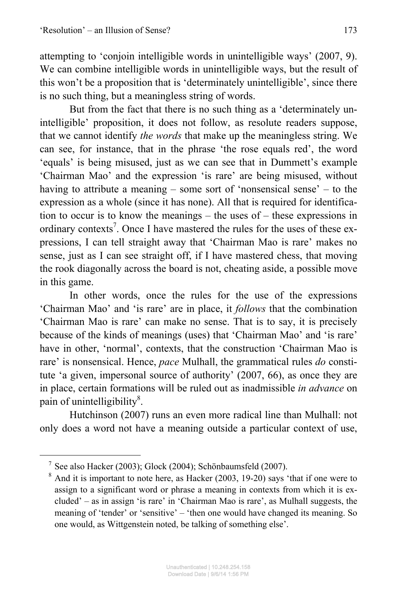attempting to 'conjoin intelligible words in unintelligible ways' (2007, 9). We can combine intelligible words in unintelligible ways, but the result of this won't be a proposition that is 'determinately unintelligible', since there is no such thing, but a meaningless string of words.

But from the fact that there is no such thing as a 'determinately unintelligible' proposition, it does not follow, as resolute readers suppose, that we cannot identify *the words* that make up the meaningless string. We can see, for instance, that in the phrase 'the rose equals red', the word 'equals' is being misused, just as we can see that in Dummett's example 'Chairman Mao' and the expression 'is rare' are being misused, without having to attribute a meaning – some sort of 'nonsensical sense' – to the expression as a whole (since it has none). All that is required for identification to occur is to know the meanings – the uses of – these expressions in ordinary contexts<sup>7</sup>. Once I have mastered the rules for the uses of these expressions, I can tell straight away that 'Chairman Mao is rare' makes no sense, just as I can see straight off, if I have mastered chess, that moving the rook diagonally across the board is not, cheating aside, a possible move in this game.

In other words, once the rules for the use of the expressions 'Chairman Mao' and 'is rare' are in place, it *follows* that the combination 'Chairman Mao is rare' can make no sense. That is to say, it is precisely because of the kinds of meanings (uses) that 'Chairman Mao' and 'is rare' have in other, 'normal', contexts, that the construction 'Chairman Mao is rare' is nonsensical. Hence, *pace* Mulhall, the grammatical rules *do* constitute 'a given, impersonal source of authority' (2007, 66), as once they are in place, certain formations will be ruled out as inadmissible *in advance* on pain of unintelligibility $^{8}$ .

Hutchinson (2007) runs an even more radical line than Mulhall: not only does a word not have a meaning outside a particular context of use,

 <sup>7</sup> See also Hacker (2003); Glock (2004); Schönbaumsfeld (2007).

 $8$  And it is important to note here, as Hacker (2003, 19-20) says 'that if one were to assign to a significant word or phrase a meaning in contexts from which it is excluded' – as in assign 'is rare' in 'Chairman Mao is rare', as Mulhall suggests, the meaning of 'tender' or 'sensitive' – 'then one would have changed its meaning. So one would, as Wittgenstein noted, be talking of something else'.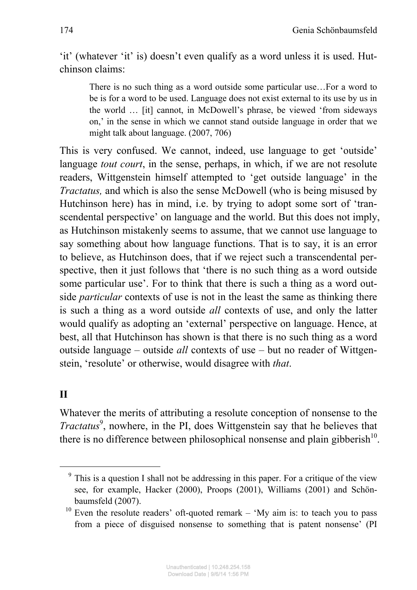'it' (whatever 'it' is) doesn't even qualify as a word unless it is used. Hutchinson claims:

There is no such thing as a word outside some particular use…For a word to be is for a word to be used. Language does not exist external to its use by us in the world … [it] cannot, in McDowell's phrase, be viewed 'from sideways on,' in the sense in which we cannot stand outside language in order that we might talk about language. (2007, 706)

This is very confused. We cannot, indeed, use language to get 'outside' language *tout court*, in the sense, perhaps, in which, if we are not resolute readers, Wittgenstein himself attempted to 'get outside language' in the *Tractatus,* and which is also the sense McDowell (who is being misused by Hutchinson here) has in mind, i.e. by trying to adopt some sort of 'transcendental perspective' on language and the world. But this does not imply, as Hutchinson mistakenly seems to assume, that we cannot use language to say something about how language functions. That is to say, it is an error to believe, as Hutchinson does, that if we reject such a transcendental perspective, then it just follows that 'there is no such thing as a word outside some particular use'. For to think that there is such a thing as a word outside *particular* contexts of use is not in the least the same as thinking there is such a thing as a word outside *all* contexts of use, and only the latter would qualify as adopting an 'external' perspective on language. Hence, at best, all that Hutchinson has shown is that there is no such thing as a word outside language – outside *all* contexts of use – but no reader of Wittgenstein, 'resolute' or otherwise, would disagree with *that*.

# **II**

Whatever the merits of attributing a resolute conception of nonsense to the *Tractatus*<sup>9</sup>, nowhere, in the PI, does Wittgenstein say that he believes that there is no difference between philosophical nonsense and plain gibberish $10$ .

<sup>&</sup>lt;sup>9</sup> This is a question I shall not be addressing in this paper. For a critique of the view see, for example, Hacker (2000), Proops (2001), Williams (2001) and Schönbaumsfeld (2007).

 $10$  Even the resolute readers' oft-quoted remark – 'My aim is: to teach you to pass from a piece of disguised nonsense to something that is patent nonsense' (PI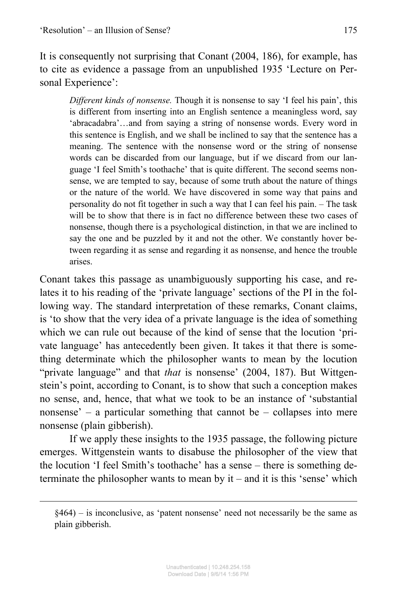$\overline{a}$ 

It is consequently not surprising that Conant (2004, 186), for example, has to cite as evidence a passage from an unpublished 1935 'Lecture on Personal Experience':

*Different kinds of nonsense.* Though it is nonsense to say 'I feel his pain', this is different from inserting into an English sentence a meaningless word, say 'abracadabra'…and from saying a string of nonsense words. Every word in this sentence is English, and we shall be inclined to say that the sentence has a meaning. The sentence with the nonsense word or the string of nonsense words can be discarded from our language, but if we discard from our language 'I feel Smith's toothache' that is quite different. The second seems nonsense, we are tempted to say, because of some truth about the nature of things or the nature of the world. We have discovered in some way that pains and personality do not fit together in such a way that I can feel his pain. – The task will be to show that there is in fact no difference between these two cases of nonsense, though there is a psychological distinction, in that we are inclined to say the one and be puzzled by it and not the other. We constantly hover between regarding it as sense and regarding it as nonsense, and hence the trouble arises.

Conant takes this passage as unambiguously supporting his case, and relates it to his reading of the 'private language' sections of the PI in the following way. The standard interpretation of these remarks, Conant claims, is 'to show that the very idea of a private language is the idea of something which we can rule out because of the kind of sense that the locution 'private language' has antecedently been given. It takes it that there is something determinate which the philosopher wants to mean by the locution "private language" and that *that* is nonsense' (2004, 187). But Wittgenstein's point, according to Conant, is to show that such a conception makes no sense, and, hence, that what we took to be an instance of 'substantial nonsense' – a particular something that cannot be – collapses into mere nonsense (plain gibberish).

If we apply these insights to the 1935 passage, the following picture emerges. Wittgenstein wants to disabuse the philosopher of the view that the locution 'I feel Smith's toothache' has a sense – there is something determinate the philosopher wants to mean by it – and it is this 'sense' which

<sup>§464) –</sup> is inconclusive, as 'patent nonsense' need not necessarily be the same as plain gibberish.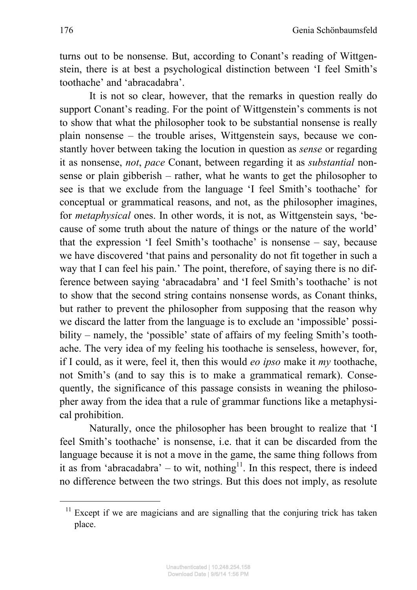turns out to be nonsense. But, according to Conant's reading of Wittgenstein, there is at best a psychological distinction between 'I feel Smith's toothache' and 'abracadabra'.

It is not so clear, however, that the remarks in question really do support Conant's reading. For the point of Wittgenstein's comments is not to show that what the philosopher took to be substantial nonsense is really plain nonsense – the trouble arises, Wittgenstein says, because we constantly hover between taking the locution in question as *sense* or regarding it as nonsense, *not*, *pace* Conant, between regarding it as *substantial* nonsense or plain gibberish – rather, what he wants to get the philosopher to see is that we exclude from the language 'I feel Smith's toothache' for conceptual or grammatical reasons, and not, as the philosopher imagines, for *metaphysical* ones. In other words, it is not, as Wittgenstein says, 'because of some truth about the nature of things or the nature of the world' that the expression 'I feel Smith's toothache' is nonsense – say, because we have discovered 'that pains and personality do not fit together in such a way that I can feel his pain.' The point, therefore, of saying there is no difference between saying 'abracadabra' and 'I feel Smith's toothache' is not to show that the second string contains nonsense words, as Conant thinks, but rather to prevent the philosopher from supposing that the reason why we discard the latter from the language is to exclude an 'impossible' possibility – namely, the 'possible' state of affairs of my feeling Smith's toothache. The very idea of my feeling his toothache is senseless, however, for, if I could, as it were, feel it, then this would *eo ipso* make it *my* toothache, not Smith's (and to say this is to make a grammatical remark). Consequently, the significance of this passage consists in weaning the philosopher away from the idea that a rule of grammar functions like a metaphysical prohibition.

Naturally, once the philosopher has been brought to realize that 'I feel Smith's toothache' is nonsense, i.e. that it can be discarded from the language because it is not a move in the game, the same thing follows from it as from 'abracadabra' – to wit, nothing<sup>11</sup>. In this respect, there is indeed no difference between the two strings. But this does not imply, as resolute

-

 $11$  Except if we are magicians and are signalling that the conjuring trick has taken place.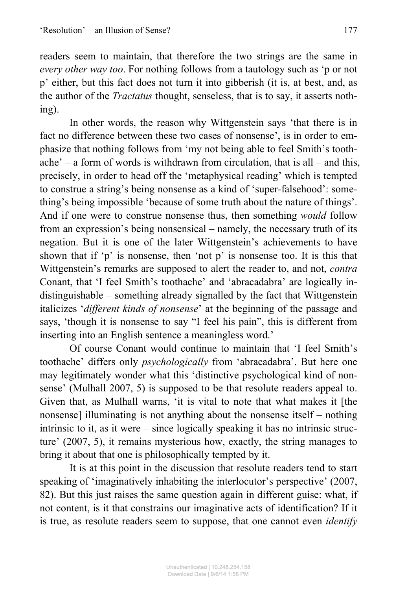readers seem to maintain, that therefore the two strings are the same in *every other way too*. For nothing follows from a tautology such as 'p or not p' either, but this fact does not turn it into gibberish (it is, at best, and, as the author of the *Tractatus* thought, senseless, that is to say, it asserts nothing).

In other words, the reason why Wittgenstein says 'that there is in fact no difference between these two cases of nonsense', is in order to emphasize that nothing follows from 'my not being able to feel Smith's toothache' – a form of words is withdrawn from circulation, that is all – and this, precisely, in order to head off the 'metaphysical reading' which is tempted to construe a string's being nonsense as a kind of 'super-falsehood': something's being impossible 'because of some truth about the nature of things'. And if one were to construe nonsense thus, then something *would* follow from an expression's being nonsensical – namely, the necessary truth of its negation. But it is one of the later Wittgenstein's achievements to have shown that if 'p' is nonsense, then 'not p' is nonsense too. It is this that Wittgenstein's remarks are supposed to alert the reader to, and not, *contra* Conant, that 'I feel Smith's toothache' and 'abracadabra' are logically indistinguishable – something already signalled by the fact that Wittgenstein italicizes '*different kinds of nonsense*' at the beginning of the passage and says, 'though it is nonsense to say "I feel his pain", this is different from inserting into an English sentence a meaningless word.'

Of course Conant would continue to maintain that 'I feel Smith's toothache' differs only *psychologically* from 'abracadabra'. But here one may legitimately wonder what this 'distinctive psychological kind of nonsense' (Mulhall 2007, 5) is supposed to be that resolute readers appeal to. Given that, as Mulhall warns, 'it is vital to note that what makes it [the nonsense] illuminating is not anything about the nonsense itself – nothing intrinsic to it, as it were – since logically speaking it has no intrinsic structure' (2007, 5), it remains mysterious how, exactly, the string manages to bring it about that one is philosophically tempted by it.

It is at this point in the discussion that resolute readers tend to start speaking of 'imaginatively inhabiting the interlocutor's perspective' (2007, 82). But this just raises the same question again in different guise: what, if not content, is it that constrains our imaginative acts of identification? If it is true, as resolute readers seem to suppose, that one cannot even *identify*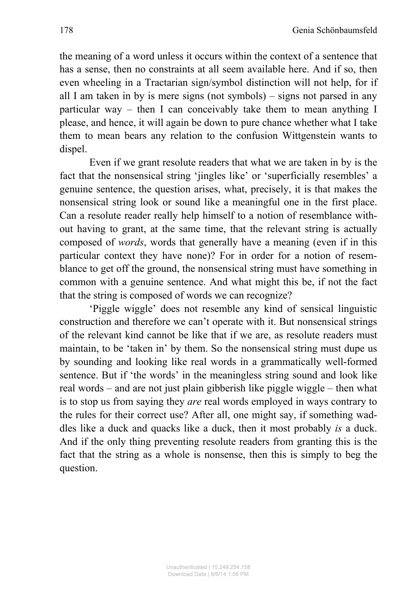the meaning of a word unless it occurs within the context of a sentence that has a sense, then no constraints at all seem available here. And if so, then even wheeling in a Tractarian sign/symbol distinction will not help, for if all I am taken in by is mere signs (not symbols) – signs not parsed in any particular way – then I can conceivably take them to mean anything I please, and hence, it will again be down to pure chance whether what I take them to mean bears any relation to the confusion Wittgenstein wants to dispel.

Even if we grant resolute readers that what we are taken in by is the fact that the nonsensical string 'jingles like' or 'superficially resembles' a genuine sentence, the question arises, what, precisely, it is that makes the nonsensical string look or sound like a meaningful one in the first place. Can a resolute reader really help himself to a notion of resemblance without having to grant, at the same time, that the relevant string is actually composed of *words*, words that generally have a meaning (even if in this particular context they have none)? For in order for a notion of resemblance to get off the ground, the nonsensical string must have something in common with a genuine sentence. And what might this be, if not the fact that the string is composed of words we can recognize?

'Piggle wiggle' does not resemble any kind of sensical linguistic construction and therefore we can't operate with it. But nonsensical strings of the relevant kind cannot be like that if we are, as resolute readers must maintain, to be 'taken in' by them. So the nonsensical string must dupe us by sounding and looking like real words in a grammatically well-formed sentence. But if 'the words' in the meaningless string sound and look like real words – and are not just plain gibberish like piggle wiggle – then what is to stop us from saying they *are* real words employed in ways contrary to the rules for their correct use? After all, one might say, if something waddles like a duck and quacks like a duck, then it most probably *is* a duck. And if the only thing preventing resolute readers from granting this is the fact that the string as a whole is nonsense, then this is simply to beg the question.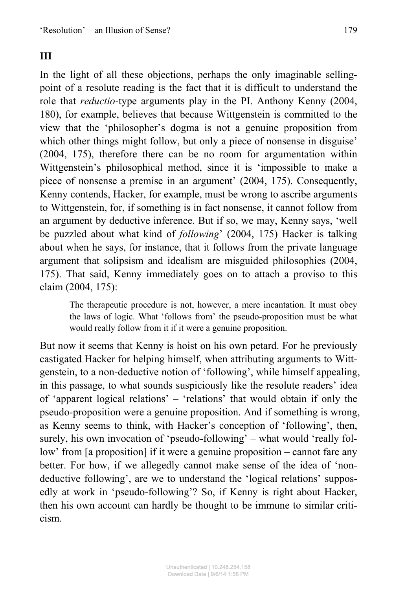#### **III**

In the light of all these objections, perhaps the only imaginable sellingpoint of a resolute reading is the fact that it is difficult to understand the role that *reductio*-type arguments play in the PI. Anthony Kenny (2004, 180), for example, believes that because Wittgenstein is committed to the view that the 'philosopher's dogma is not a genuine proposition from which other things might follow, but only a piece of nonsense in disguise' (2004, 175), therefore there can be no room for argumentation within Wittgenstein's philosophical method, since it is 'impossible to make a piece of nonsense a premise in an argument' (2004, 175). Consequently, Kenny contends, Hacker, for example, must be wrong to ascribe arguments to Wittgenstein, for, if something is in fact nonsense, it cannot follow from an argument by deductive inference. But if so, we may, Kenny says, 'well be puzzled about what kind of *following*' (2004, 175) Hacker is talking about when he says, for instance, that it follows from the private language argument that solipsism and idealism are misguided philosophies (2004, 175). That said, Kenny immediately goes on to attach a proviso to this claim (2004, 175):

The therapeutic procedure is not, however, a mere incantation. It must obey the laws of logic. What 'follows from' the pseudo-proposition must be what would really follow from it if it were a genuine proposition.

But now it seems that Kenny is hoist on his own petard. For he previously castigated Hacker for helping himself, when attributing arguments to Wittgenstein, to a non-deductive notion of 'following', while himself appealing, in this passage, to what sounds suspiciously like the resolute readers' idea of 'apparent logical relations' – 'relations' that would obtain if only the pseudo-proposition were a genuine proposition. And if something is wrong, as Kenny seems to think, with Hacker's conception of 'following', then, surely, his own invocation of 'pseudo-following' – what would 'really follow' from [a proposition] if it were a genuine proposition – cannot fare any better. For how, if we allegedly cannot make sense of the idea of 'nondeductive following', are we to understand the 'logical relations' supposedly at work in 'pseudo-following'? So, if Kenny is right about Hacker, then his own account can hardly be thought to be immune to similar criticism.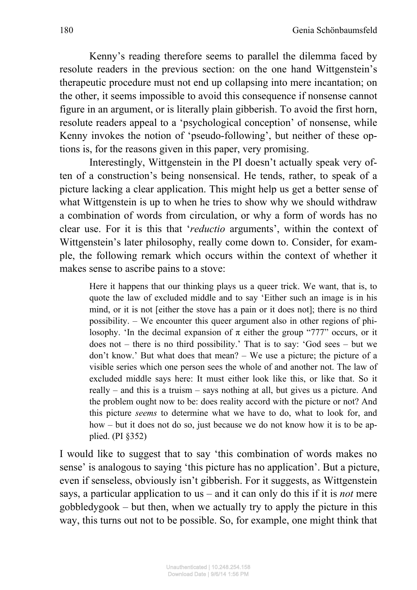Kenny's reading therefore seems to parallel the dilemma faced by resolute readers in the previous section: on the one hand Wittgenstein's therapeutic procedure must not end up collapsing into mere incantation; on the other, it seems impossible to avoid this consequence if nonsense cannot figure in an argument, or is literally plain gibberish. To avoid the first horn, resolute readers appeal to a 'psychological conception' of nonsense, while Kenny invokes the notion of 'pseudo-following', but neither of these options is, for the reasons given in this paper, very promising.

Interestingly, Wittgenstein in the PI doesn't actually speak very often of a construction's being nonsensical. He tends, rather, to speak of a picture lacking a clear application. This might help us get a better sense of what Wittgenstein is up to when he tries to show why we should withdraw a combination of words from circulation, or why a form of words has no clear use. For it is this that '*reductio* arguments', within the context of Wittgenstein's later philosophy, really come down to. Consider, for example, the following remark which occurs within the context of whether it makes sense to ascribe pains to a stove:

Here it happens that our thinking plays us a queer trick. We want, that is, to quote the law of excluded middle and to say 'Either such an image is in his mind, or it is not [either the stove has a pain or it does not]; there is no third possibility. – We encounter this queer argument also in other regions of philosophy. 'In the decimal expansion of  $\pi$  either the group "777" occurs, or it does not – there is no third possibility.' That is to say: 'God sees – but we don't know.' But what does that mean? – We use a picture; the picture of a visible series which one person sees the whole of and another not. The law of excluded middle says here: It must either look like this, or like that. So it really – and this is a truism – says nothing at all, but gives us a picture. And the problem ought now to be: does reality accord with the picture or not? And this picture *seems* to determine what we have to do, what to look for, and how – but it does not do so, just because we do not know how it is to be applied. (PI §352)

I would like to suggest that to say 'this combination of words makes no sense' is analogous to saying 'this picture has no application'. But a picture, even if senseless, obviously isn't gibberish. For it suggests, as Wittgenstein says, a particular application to us – and it can only do this if it is *not* mere gobbledygook – but then, when we actually try to apply the picture in this way, this turns out not to be possible. So, for example, one might think that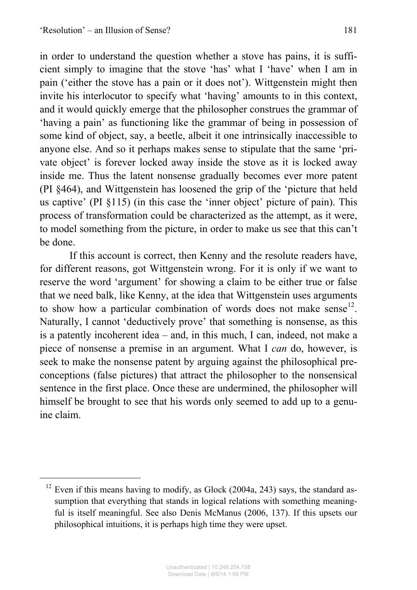$\overline{a}$ 

in order to understand the question whether a stove has pains, it is sufficient simply to imagine that the stove 'has' what I 'have' when I am in pain ('either the stove has a pain or it does not'). Wittgenstein might then invite his interlocutor to specify what 'having' amounts to in this context, and it would quickly emerge that the philosopher construes the grammar of 'having a pain' as functioning like the grammar of being in possession of some kind of object, say, a beetle, albeit it one intrinsically inaccessible to anyone else. And so it perhaps makes sense to stipulate that the same 'private object' is forever locked away inside the stove as it is locked away inside me. Thus the latent nonsense gradually becomes ever more patent (PI §464), and Wittgenstein has loosened the grip of the 'picture that held us captive' (PI §115) (in this case the 'inner object' picture of pain). This process of transformation could be characterized as the attempt, as it were, to model something from the picture, in order to make us see that this can't be done.

If this account is correct, then Kenny and the resolute readers have, for different reasons, got Wittgenstein wrong. For it is only if we want to reserve the word 'argument' for showing a claim to be either true or false that we need balk, like Kenny, at the idea that Wittgenstein uses arguments to show how a particular combination of words does not make sense $12$ . Naturally, I cannot 'deductively prove' that something is nonsense, as this is a patently incoherent idea – and, in this much, I can, indeed, not make a piece of nonsense a premise in an argument. What I *can* do, however, is seek to make the nonsense patent by arguing against the philosophical preconceptions (false pictures) that attract the philosopher to the nonsensical sentence in the first place. Once these are undermined, the philosopher will himself be brought to see that his words only seemed to add up to a genuine claim.

 $12$  Even if this means having to modify, as Glock (2004a, 243) says, the standard assumption that everything that stands in logical relations with something meaningful is itself meaningful. See also Denis McManus (2006, 137). If this upsets our philosophical intuitions, it is perhaps high time they were upset.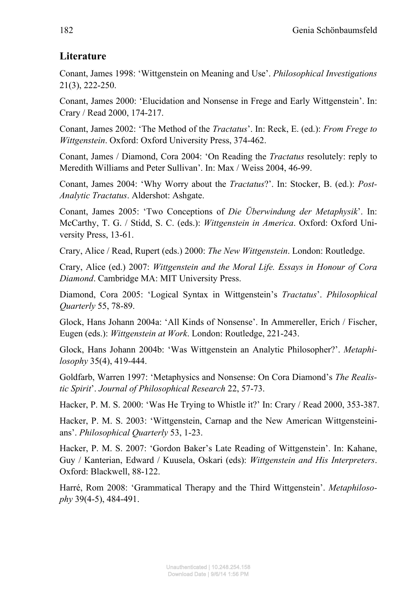## **Literature**

Conant, James 1998: 'Wittgenstein on Meaning and Use'. *Philosophical Investigations* 21(3), 222-250.

Conant, James 2000: 'Elucidation and Nonsense in Frege and Early Wittgenstein'. In: Crary / Read 2000, 174-217.

Conant, James 2002: 'The Method of the *Tractatus*'. In: Reck, E. (ed.): *From Frege to Wittgenstein*. Oxford: Oxford University Press, 374-462.

Conant, James / Diamond, Cora 2004: 'On Reading the *Tractatus* resolutely: reply to Meredith Williams and Peter Sullivan'. In: Max / Weiss 2004, 46-99.

Conant, James 2004: 'Why Worry about the *Tractatus*?'. In: Stocker, B. (ed.): *Post-Analytic Tractatus*. Aldershot: Ashgate.

Conant, James 2005: 'Two Conceptions of *Die Überwindung der Metaphysik*'. In: McCarthy, T. G. / Stidd, S. C. (eds.): *Wittgenstein in America*. Oxford: Oxford University Press, 13-61.

Crary, Alice / Read, Rupert (eds.) 2000: *The New Wittgenstein*. London: Routledge.

Crary, Alice (ed.) 2007: *Wittgenstein and the Moral Life. Essays in Honour of Cora Diamond*. Cambridge MA: MIT University Press.

Diamond, Cora 2005: 'Logical Syntax in Wittgenstein's *Tractatus*'. *Philosophical Quarterly* 55, 78-89.

Glock, Hans Johann 2004a: 'All Kinds of Nonsense'. In Ammereller, Erich / Fischer, Eugen (eds.): *Wittgenstein at Work*. London: Routledge, 221-243.

Glock, Hans Johann 2004b: 'Was Wittgenstein an Analytic Philosopher?'. *Metaphilosophy* 35(4), 419-444.

Goldfarb, Warren 1997: 'Metaphysics and Nonsense: On Cora Diamond's *The Realistic Spirit*'. *Journal of Philosophical Research* 22, 57-73.

Hacker, P. M. S. 2000: 'Was He Trying to Whistle it?' In: Crary / Read 2000, 353-387.

Hacker, P. M. S. 2003: 'Wittgenstein, Carnap and the New American Wittgensteinians'. *Philosophical Quarterly* 53, 1-23.

Hacker, P. M. S. 2007: 'Gordon Baker's Late Reading of Wittgenstein'. In: Kahane, Guy / Kanterian, Edward / Kuusela, Oskari (eds): *Wittgenstein and His Interpreters*. Oxford: Blackwell, 88-122.

Harré, Rom 2008: 'Grammatical Therapy and the Third Wittgenstein'. *Metaphilosophy* 39(4-5), 484-491.